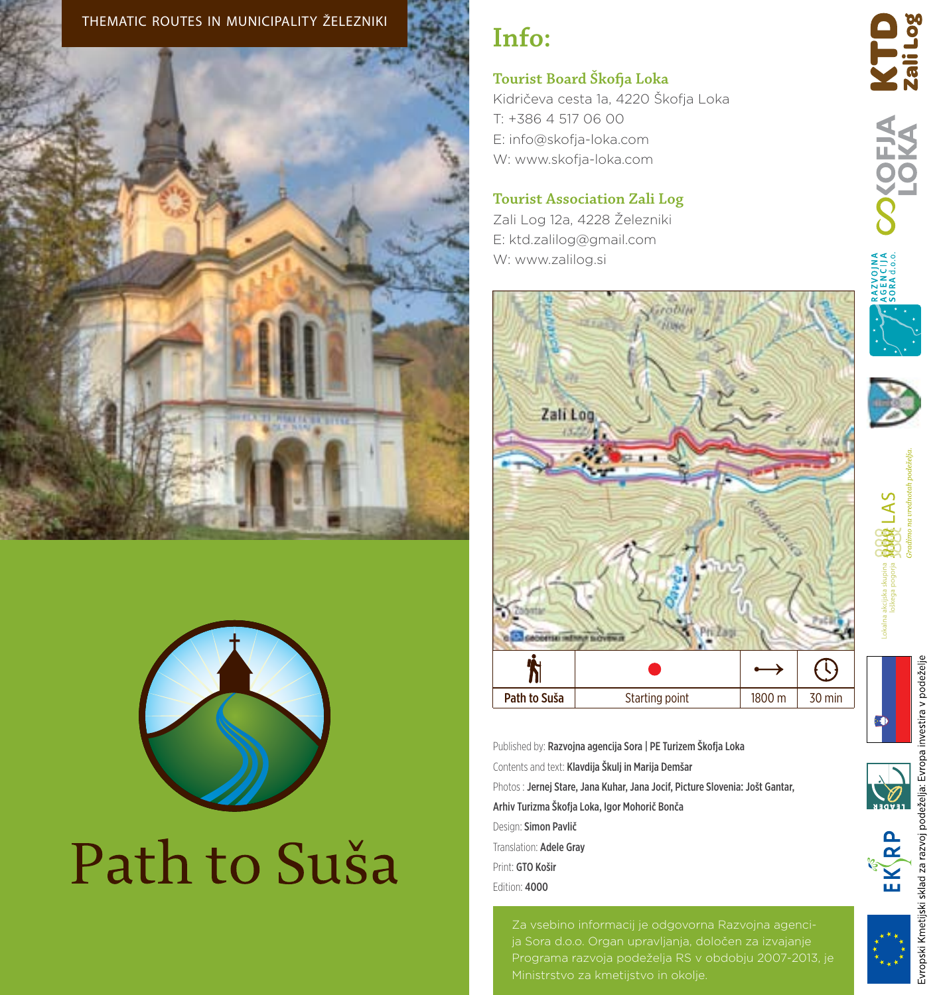



# Path to Suša

## **Info:**

#### **Tourist Board Škofja Loka**

Kidričeva cesta 1a, 4220 Škofja Loka T: +386 4 517 06 00 E: info@skofja-loka.com W: www.skofja-loka.com

#### **Tourist Association Zali Log**

Zali Log 12a, 4228 Železniki E: ktd.zalilog@gmail.com W: www.zalilog.si



Published by: Razvojna agencija Sora | PE Turizem Škofja Loka Contents and text: Klavdija Škulj in Marija Demšar Photos : Jernej Stare, Jana Kuhar, Jana Jocif, Picture Slovenia: Jošt Gantar, Arhiv Turizma Škofja Loka, Igor Mohorič Bonča Design: Simon Pavlič Translation: Adele Gray Print: GTO Košir Edition: 4000

Programa razvoja podeželja RS v obdobju 2007-2013, je



LAS

**OKOFIA KTD**<br>LOKA zailog



ಾ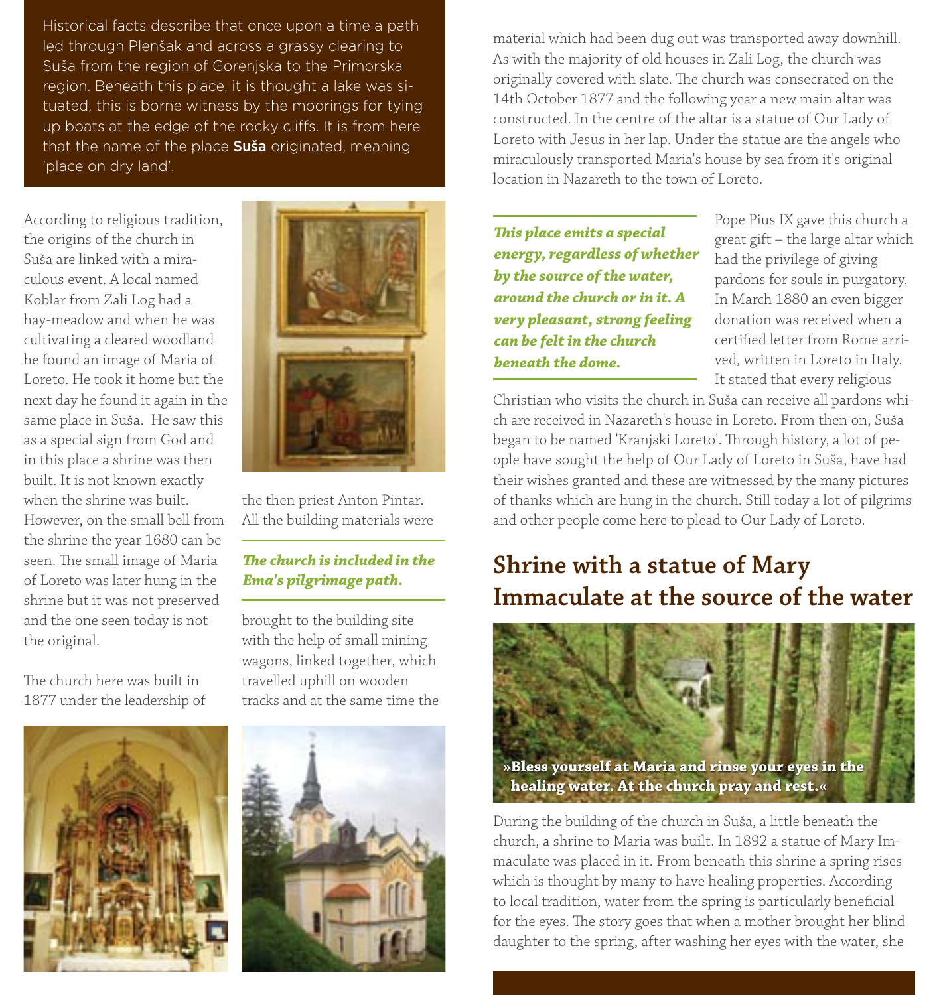Historical facts describe that once upon a time a path led through Plenšak and across a grassy clearing to Suša from the region of Gorenjska to the Primorska region. Beneath this place, it is thought a lake was situated, this is borne witness by the moorings for tying up boats at the edge of the rocky cliffs. It is from here that the name of the place Suša originated, meaning 'place on dry land'.

According to religious tradition, the origins of the church in Suša are linked with a miraculous event. A local named Koblar from Zali Log had a hay-meadow and when he was cultivating a cleared woodland he found an image of Maria of Loreto. He took it home but the next day he found it again in the same place in Suša. He saw this as a special sign from God and in this place a shrine was then built. It is not known exactly when the shrine was built. However, on the small bell from the shrine the year 1680 can be seen. The small image of Maria of Loreto was later hung in the shrine but it was not preserved and the one seen today is not the original.

The church here was built in 1877 under the leadership of





the then priest Anton Pintar. All the building materials were

#### *The church is included in the Ema's pilgrimage path.*

brought to the building site with the help of small mining wagons, linked together, which travelled uphill on wooden tracks and at the same time the



material which had been dug out was transported away downhill. As with the majority of old houses in Zali Log, the church was originally covered with slate. The church was consecrated on the 14th October 1877 and the following year a new main altar was constructed. In the centre of the altar is a statue of Our Lady of Loreto with Jesus in her lap. Under the statue are the angels who miraculously transported Maria's house by sea from it's original location in Nazareth to the town of Loreto.

*This place emits a special energy, regardless of whether by the source of the water, around the church or in it. A very pleasant, strong feeling can be felt in the church beneath the dome.*

Pope Pius IX gave this church a great gift – the large altar which had the privilege of giving pardons for souls in purgatory. In March 1880 an even bigger donation was received when a certified letter from Rome arrived, written in Loreto in Italy. It stated that every religious

Christian who visits the church in Suša can receive all pardons which are received in Nazareth's house in Loreto. From then on, Suša began to be named 'Kranjski Loreto'. Through history, a lot of people have sought the help of Our Lady of Loreto in Suša, have had their wishes granted and these are witnessed by the many pictures of thanks which are hung in the church. Still today a lot of pilgrims and other people come here to plead to Our Lady of Loreto.

## **Shrine with a statue of Mary Immaculate at the source of the water**



During the building of the church in Suša, a little beneath the church, a shrine to Maria was built. In 1892 a statue of Mary Immaculate was placed in it. From beneath this shrine a spring rises which is thought by many to have healing properties. According to local tradition, water from the spring is particularly beneficial for the eyes. The story goes that when a mother brought her blind daughter to the spring, after washing her eyes with the water, she